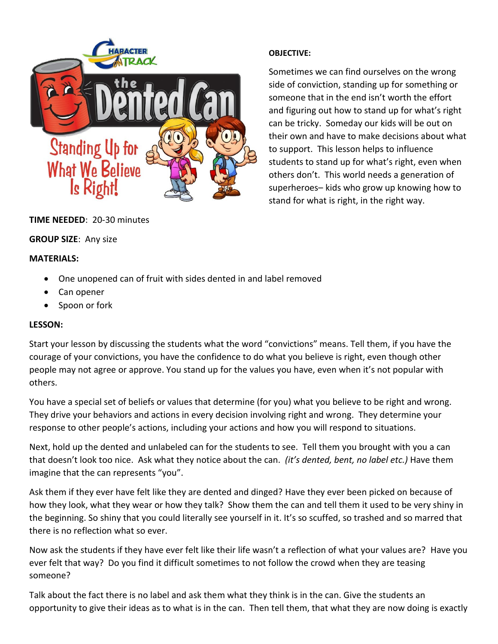

# **TIME NEEDED**: 20-30 minutes

#### **GROUP SIZE**: Any size

#### **MATERIALS:**

- One unopened can of fruit with sides dented in and label removed
- Can opener
- Spoon or fork

### **LESSON:**

Start your lesson by discussing the students what the word "convictions" means. Tell them, if you have the courage of your convictions, you have the confidence to do what you believe is right, even though other people may not agree or approve. You stand up for the values you have, even when it's not popular with others.

You have a special set of beliefs or values that determine (for you) what you believe to be right and wrong. They drive your behaviors and actions in every decision involving right and wrong. They determine your response to other people's actions, including your actions and how you will respond to situations.

Next, hold up the dented and unlabeled can for the students to see. Tell them you brought with you a can that doesn't look too nice. Ask what they notice about the can. *(it's dented, bent, no label etc.)* Have them imagine that the can represents "you".

Ask them if they ever have felt like they are dented and dinged? Have they ever been picked on because of how they look, what they wear or how they talk? Show them the can and tell them it used to be very shiny in the beginning. So shiny that you could literally see yourself in it. It's so scuffed, so trashed and so marred that there is no reflection what so ever.

Now ask the students if they have ever felt like their life wasn't a reflection of what your values are? Have you ever felt that way? Do you find it difficult sometimes to not follow the crowd when they are teasing someone?

Talk about the fact there is no label and ask them what they think is in the can. Give the students an opportunity to give their ideas as to what is in the can. Then tell them, that what they are now doing is exactly

### **OBJECTIVE:**

Sometimes we can find ourselves on the wrong side of conviction, standing up for something or someone that in the end isn't worth the effort and figuring out how to stand up for what's right can be tricky. Someday our kids will be out on their own and have to make decisions about what to support. This lesson helps to influence students to stand up for what's right, even when others don't. This world needs a generation of superheroes– kids who grow up knowing how to stand for what is right, in the right way.